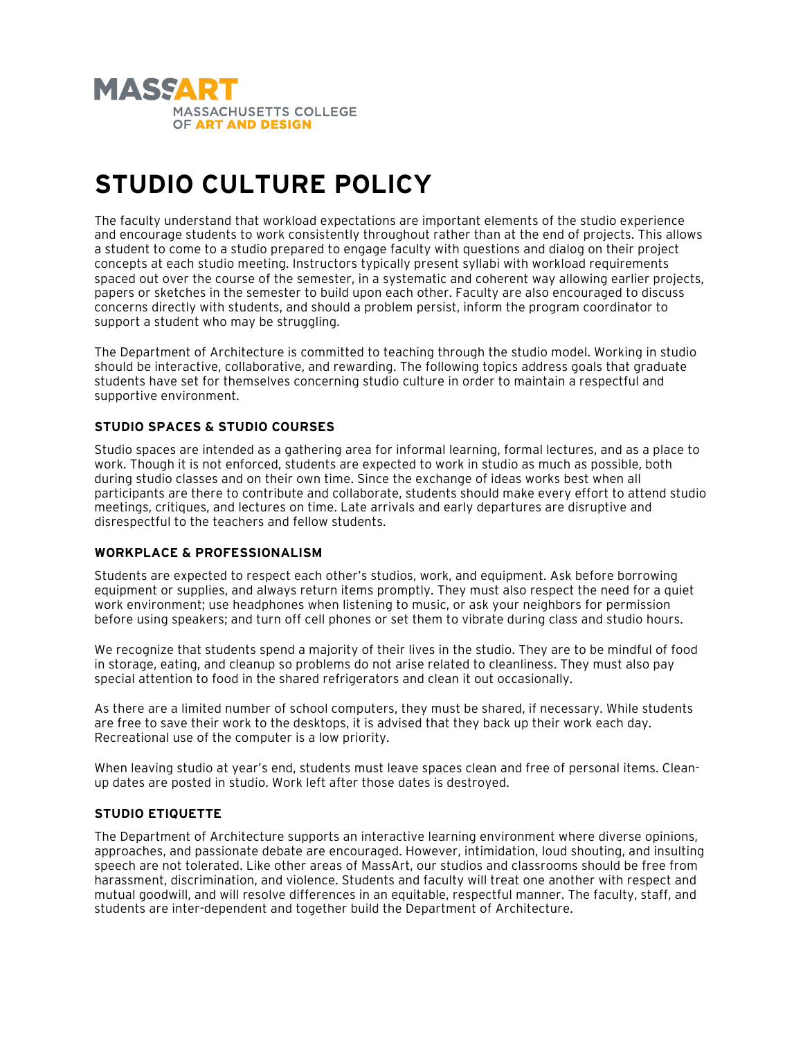

# **STUDIO CULTURE POLICY**

The faculty understand that workload expectations are important elements of the studio experience and encourage students to work consistently throughout rather than at the end of projects. This allows a student to come to a studio prepared to engage faculty with questions and dialog on their project concepts at each studio meeting. Instructors typically present syllabi with workload requirements spaced out over the course of the semester, in a systematic and coherent way allowing earlier projects, papers or sketches in the semester to build upon each other. Faculty are also encouraged to discuss concerns directly with students, and should a problem persist, inform the program coordinator to support a student who may be struggling.

The Department of Architecture is committed to teaching through the studio model. Working in studio should be interactive, collaborative, and rewarding. The following topics address goals that graduate students have set for themselves concerning studio culture in order to maintain a respectful and supportive environment.

# **STUDIO SPACES & STUDIO COURSES**

Studio spaces are intended as a gathering area for informal learning, formal lectures, and as a place to work. Though it is not enforced, students are expected to work in studio as much as possible, both during studio classes and on their own time. Since the exchange of ideas works best when all participants are there to contribute and collaborate, students should make every effort to attend studio meetings, critiques, and lectures on time. Late arrivals and early departures are disruptive and disrespectful to the teachers and fellow students.

## **WORKPLACE & PROFESSIONALISM**

Students are expected to respect each other's studios, work, and equipment. Ask before borrowing equipment or supplies, and always return items promptly. They must also respect the need for a quiet work environment; use headphones when listening to music, or ask your neighbors for permission before using speakers; and turn off cell phones or set them to vibrate during class and studio hours.

We recognize that students spend a majority of their lives in the studio. They are to be mindful of food in storage, eating, and cleanup so problems do not arise related to cleanliness. They must also pay special attention to food in the shared refrigerators and clean it out occasionally.

As there are a limited number of school computers, they must be shared, if necessary. While students are free to save their work to the desktops, it is advised that they back up their work each day. Recreational use of the computer is a low priority.

When leaving studio at year's end, students must leave spaces clean and free of personal items. Cleanup dates are posted in studio. Work left after those dates is destroyed.

## **STUDIO ETIQUETTE**

The Department of Architecture supports an interactive learning environment where diverse opinions, approaches, and passionate debate are encouraged. However, intimidation, loud shouting, and insulting speech are not tolerated. Like other areas of MassArt, our studios and classrooms should be free from harassment, discrimination, and violence. Students and faculty will treat one another with respect and mutual goodwill, and will resolve differences in an equitable, respectful manner. The faculty, staff, and students are inter-dependent and together build the Department of Architecture.